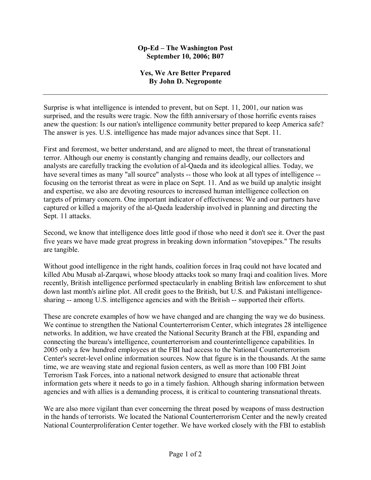## **Op-Ed – The Washington Post September 10, 2006; B07**

## **Yes, We Are Better Prepared By John D. Negroponte**

Surprise is what intelligence is intended to prevent, but on Sept. 11, 2001, our nation was surprised, and the results were tragic. Now the fifth anniversary of those horrific events raises anew the question: Is our nation's intelligence community better prepared to keep America safe? The answer is yes. U.S. intelligence has made major advances since that Sept. 11.

First and foremost, we better understand, and are aligned to meet, the threat of transnational terror. Although our enemy is constantly changing and remains deadly, our collectors and analysts are carefully tracking the evolution of al-Qaeda and its ideological allies. Today, we have several times as many "all source" analysts -- those who look at all types of intelligence -focusing on the terrorist threat as were in place on Sept. 11. And as we build up analytic insight and expertise, we also are devoting resources to increased human intelligence collection on targets of primary concern. One important indicator of effectiveness: We and our partners have captured or killed a majority of the al-Qaeda leadership involved in planning and directing the Sept. 11 attacks.

Second, we know that intelligence does little good if those who need it don't see it. Over the past five years we have made great progress in breaking down information "stovepipes." The results are tangible.

Without good intelligence in the right hands, coalition forces in Iraq could not have located and killed Abu Musab al-Zarqawi, whose bloody attacks took so many Iraqi and coalition lives. More recently, British intelligence performed spectacularly in enabling British law enforcement to shut down last month's airline plot. All credit goes to the British, but U.S. and Pakistani intelligencesharing -- among U.S. intelligence agencies and with the British -- supported their efforts.

These are concrete examples of how we have changed and are changing the way we do business. We continue to strengthen the National Counterterrorism Center, which integrates 28 intelligence networks. In addition, we have created the National Security Branch at the FBI, expanding and connecting the bureau's intelligence, counterterrorism and counterintelligence capabilities. In 2005 only a few hundred employees at the FBI had access to the National Counterterrorism Center's secret-level online information sources. Now that figure is in the thousands. At the same time, we are weaving state and regional fusion centers, as well as more than 100 FBI Joint Terrorism Task Forces, into a national network designed to ensure that actionable threat information gets where it needs to go in a timely fashion. Although sharing information between agencies and with allies is a demanding process, it is critical to countering transnational threats.

We are also more vigilant than ever concerning the threat posed by weapons of mass destruction in the hands of terrorists. We located the National Counterterrorism Center and the newly created National Counterproliferation Center together. We have worked closely with the FBI to establish